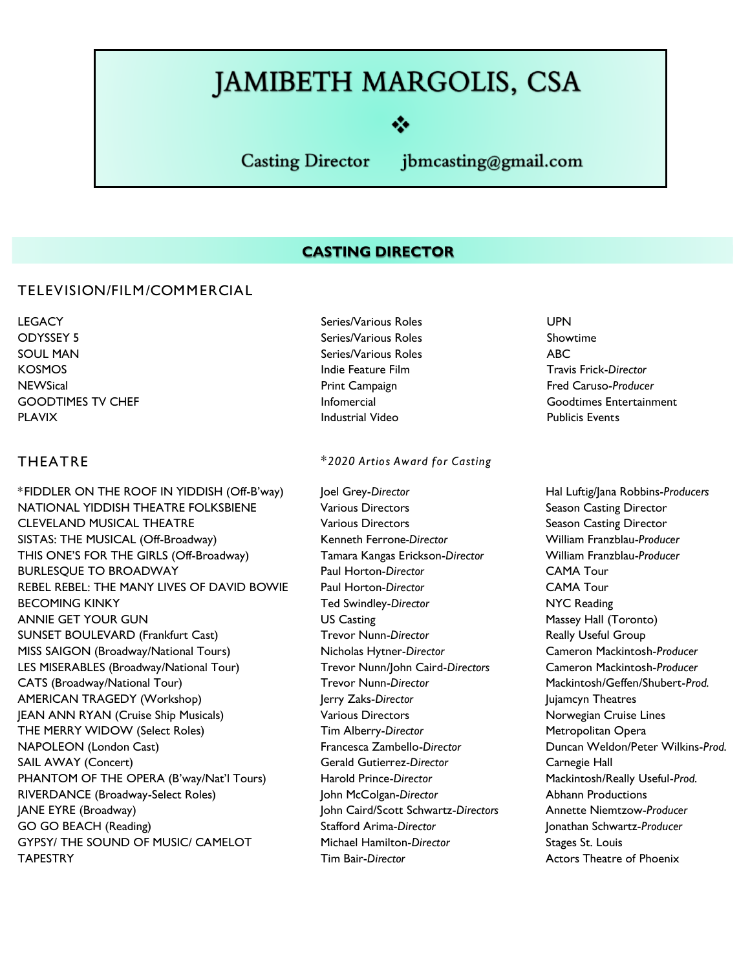# **JAMIBETH MARGOLIS, CSA**

**Casting Director** 

jbmcasting@gmail.com

#### **CASTING DIRECTOR**

#### **TELEVISION/FILM/COMMERCIAL**

**LEGACY Series/Various Roles UPN ODYSSEY 5 Series/Various Roles Showtime SOUL MAN Series/Various Roles ABC KOSMOS Indie Feature Film Travis Frick-***Director* **NEWSical Print Campaign Fred Caruso-***Producer* **PLAVIX Industrial Video Publicis Events**

**\*FIDDLER ON THE ROOF IN YIDDISH (Off-B'way) Joel Grey-***Director* **Hal Luftig/Jana Robbins-***Producers* **NATIONAL YIDDISH THEATRE FOLKSBIENE Various Directors Season Casting Director CLEVELAND MUSICAL THEATRE Various Directors Season Casting Director SISTAS: THE MUSICAL (Off-Broadway) Kenneth Ferrone***-Director* **William Franzblau-***Producer* **THIS ONE'S FOR THE GIRLS (Off-Broadway) Tamara Kangas Erickson-***Director* **William Franzblau-***Producer* **BURLESQUE TO BROADWAY Paul Horton-***Director* **CAMA Tour REBEL REBEL: THE MANY LIVES OF DAVID BOWIE Paul Horton-***Director* **CAMA Tour BECOMING KINKY Ted Swindley-***Director* **NYC Reading ANNIE GET YOUR GUN CONCLUSTED BY CAST US Casting CONCLUSTED MASSEY Hall (Toronto) SUNSET BOULEVARD (Frankfurt Cast) Trevor Nunn-***Director* **Really Useful Group MISS SAIGON (Broadway/National Tours) Nicholas Hytner-***Director* **Cameron Mackintosh-***Producer* **LES MISERABLES (Broadway/National Tour) Trevor Nunn/John Caird-***Directors* **Cameron Mackintosh-***Producer* **CATS (Broadway/National Tour) Trevor Nunn-***Director* **Mackintosh/Geffen/Shubert-***Prod.* **AMERICAN TRAGEDY (Workshop) Jerry Zaks-***Director* **Jujamcyn Theatres JEAN ANN RYAN (Cruise Ship Musicals) Various Directors Norwegian Cruise Lines THE MERRY WIDOW (Select Roles) Tim Alberry-***Director* **Metropolitan Opera NAPOLEON (London Cast) Francesca Zambello-***Director* **Duncan Weldon/Peter Wilkins-***Prod.* **SAIL AWAY (Concert) Gerald Gutierrez-***Director* **Carnegie Hall PHANTOM OF THE OPERA (B'way/Nat'l Tours) Harold Prince-***Director* **Mackintosh/Really Useful-***Prod.* **RIVERDANCE (Broadway-Select Roles) John McColgan-***Director* **Abhann Productions JANE EYRE (Broadway) John Caird/Scott Schwartz-***Directors* **Annette Niemtzow-***Producer* **GO GO BEACH (Reading) Stafford Arima-***Director* **Jonathan Schwartz-***Producer* **GYPSY/ THE SOUND OF MUSIC/ CAMELOT Michael Hamilton-***Director* **Stages St. Louis TAPESTRY Tim Bair-***Director* **Actors Theatre of Phoenix**

#### **THEATRE** *\*2020 Artios Award for Casting*

**GOODTIMES TV CHEF Infomercial Goodtimes Entertainment**